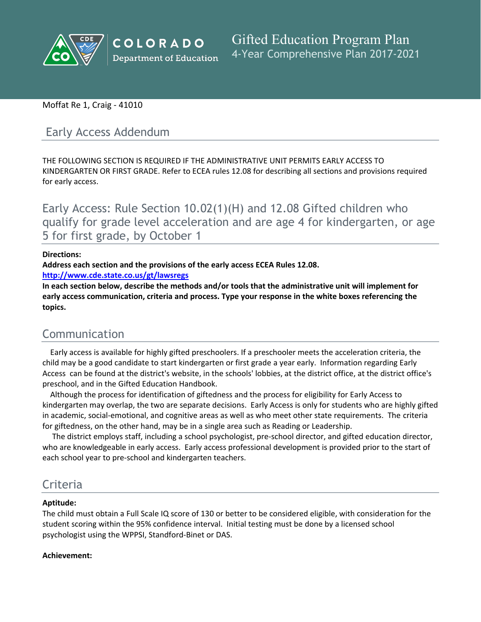

# Moffat Re 1, Craig - 41010

# Early Access Addendum

THE FOLLOWING SECTION IS REQUIRED IF THE ADMINISTRATIVE UNIT PERMITS EARLY ACCESS TO KINDERGARTEN OR FIRST GRADE. Refer to ECEA rules 12.08 for describing all sections and provisions required for early access.

Early Access: Rule Section 10.02(1)(H) and 12.08 Gifted children who qualify for grade level acceleration and are age 4 for kindergarten, or age 5 for first grade, by October 1

### **Directions:**

**Address each section and the provisions of the early access ECEA Rules 12.08.**

**<http://www.cde.state.co.us/gt/lawsregs>**

**In each section below, describe the methods and/or tools that the administrative unit will implement for early access communication, criteria and process. Type your response in the white boxes referencing the topics.**

# Communication

Early access is available for highly gifted preschoolers. If a preschooler meets the acceleration criteria, the child may be a good candidate to start kindergarten or first grade a year early. Information regarding Early Access can be found at the district's website, in the schools' lobbies, at the district office, at the district office's preschool, and in the Gifted Education Handbook.

Although the process for identification of giftedness and the process for eligibility for Early Access to kindergarten may overlap, the two are separate decisions. Early Access is only for students who are highly gifted in academic, social-emotional, and cognitive areas as well as who meet other state requirements. The criteria for giftedness, on the other hand, may be in a single area such as Reading or Leadership.

The district employs staff, including a school psychologist, pre-school director, and gifted education director, who are knowledgeable in early access. Early access professional development is provided prior to the start of each school year to pre-school and kindergarten teachers.

# Criteria

# **Aptitude:**

The child must obtain a Full Scale IQ score of 130 or better to be considered eligible, with consideration for the student scoring within the 95% confidence interval. Initial testing must be done by a licensed school psychologist using the WPPSI, Standford-Binet or DAS.

# **Achievement:**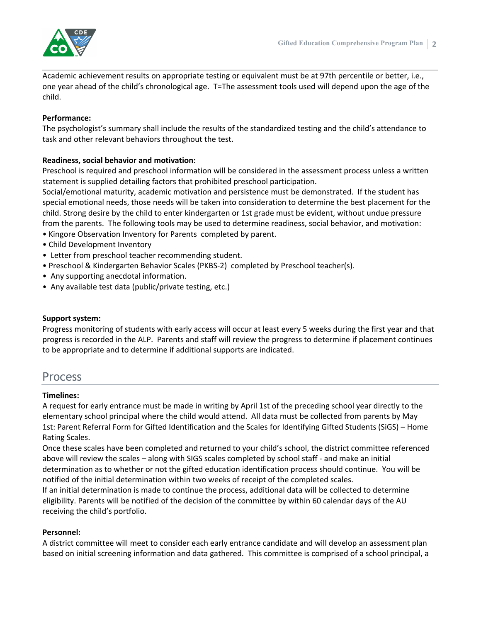

Academic achievement results on appropriate testing or equivalent must be at 97th percentile or better, i.e., one year ahead of the child's chronological age. T=The assessment tools used will depend upon the age of the child.

#### **Performance:**

The psychologist's summary shall include the results of the standardized testing and the child's attendance to task and other relevant behaviors throughout the test.

# **Readiness, social behavior and motivation:**

Preschool is required and preschool information will be considered in the assessment process unless a written statement is supplied detailing factors that prohibited preschool participation.

Social/emotional maturity, academic motivation and persistence must be demonstrated. If the student has special emotional needs, those needs will be taken into consideration to determine the best placement for the child. Strong desire by the child to enter kindergarten or 1st grade must be evident, without undue pressure from the parents. The following tools may be used to determine readiness, social behavior, and motivation:

- Kingore Observation Inventory for Parents completed by parent.
- Child Development Inventory
- Letter from preschool teacher recommending student.
- Preschool & Kindergarten Behavior Scales (PKBS-2) completed by Preschool teacher(s).
- Any supporting anecdotal information.
- Any available test data (public/private testing, etc.)

#### **Support system:**

Progress monitoring of students with early access will occur at least every 5 weeks during the first year and that progress is recorded in the ALP. Parents and staff will review the progress to determine if placement continues to be appropriate and to determine if additional supports are indicated.

# Process

#### **Timelines:**

A request for early entrance must be made in writing by April 1st of the preceding school year directly to the elementary school principal where the child would attend. All data must be collected from parents by May 1st: Parent Referral Form for Gifted Identification and the Scales for Identifying Gifted Students (SiGS) – Home Rating Scales.

Once these scales have been completed and returned to your child's school, the district committee referenced above will review the scales – along with SIGS scales completed by school staff - and make an initial determination as to whether or not the gifted education identification process should continue. You will be notified of the initial determination within two weeks of receipt of the completed scales.

If an initial determination is made to continue the process, additional data will be collected to determine eligibility. Parents will be notified of the decision of the committee by within 60 calendar days of the AU receiving the child's portfolio.

#### **Personnel:**

A district committee will meet to consider each early entrance candidate and will develop an assessment plan based on initial screening information and data gathered. This committee is comprised of a school principal, a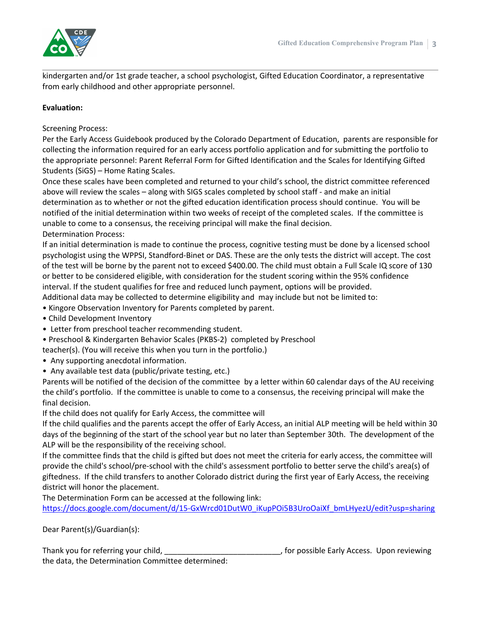

kindergarten and/or 1st grade teacher, a school psychologist, Gifted Education Coordinator, a representative from early childhood and other appropriate personnel.

### **Evaluation:**

Screening Process:

Per the Early Access Guidebook produced by the Colorado Department of Education, parents are responsible for collecting the information required for an early access portfolio application and for submitting the portfolio to the appropriate personnel: Parent Referral Form for Gifted Identification and the Scales for Identifying Gifted Students (SiGS) – Home Rating Scales.

Once these scales have been completed and returned to your child's school, the district committee referenced above will review the scales – along with SIGS scales completed by school staff - and make an initial determination as to whether or not the gifted education identification process should continue. You will be notified of the initial determination within two weeks of receipt of the completed scales. If the committee is unable to come to a consensus, the receiving principal will make the final decision. Determination Process:

If an initial determination is made to continue the process, cognitive testing must be done by a licensed school psychologist using the WPPSI, Standford-Binet or DAS. These are the only tests the district will accept. The cost of the test will be borne by the parent not to exceed \$400.00. The child must obtain a Full Scale IQ score of 130 or better to be considered eligible, with consideration for the student scoring within the 95% confidence interval. If the student qualifies for free and reduced lunch payment, options will be provided.

Additional data may be collected to determine eligibility and may include but not be limited to:

• Kingore Observation Inventory for Parents completed by parent.

- Child Development Inventory
- Letter from preschool teacher recommending student.
- Preschool & Kindergarten Behavior Scales (PKBS-2) completed by Preschool

teacher(s). (You will receive this when you turn in the portfolio.)

- Any supporting anecdotal information.
- Any available test data (public/private testing, etc.)

Parents will be notified of the decision of the committee by a letter within 60 calendar days of the AU receiving the child's portfolio. If the committee is unable to come to a consensus, the receiving principal will make the final decision.

If the child does not qualify for Early Access, the committee will

If the child qualifies and the parents accept the offer of Early Access, an initial ALP meeting will be held within 30 days of the beginning of the start of the school year but no later than September 30th. The development of the ALP will be the responsibility of the receiving school.

If the committee finds that the child is gifted but does not meet the criteria for early access, the committee will provide the child's school/pre-school with the child's assessment portfolio to better serve the child's area(s) of giftedness. If the child transfers to another Colorado district during the first year of Early Access, the receiving district will honor the placement.

The Determination Form can be accessed at the following link:

[https://docs.google.com/document/d/15-GxWrcd01DutW0\\_iKupPOi5B3UroOaiXf\\_bmLHyezU/edit?usp=sharing]()

Dear Parent(s)/Guardian(s):

Thank you for referring your child, The state of the state of the state of the state of the state of the state of the state of the state of the state of the state of the state of the state of the state of the state of the the data, the Determination Committee determined: